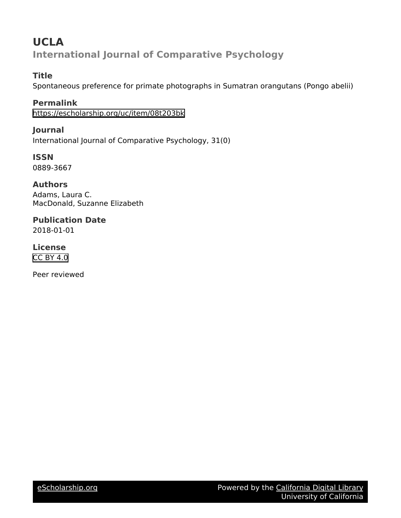# **UCLA International Journal of Comparative Psychology**

## **Title**

Spontaneous preference for primate photographs in Sumatran orangutans (Pongo abelii)

**Permalink** <https://escholarship.org/uc/item/08t203bk>

**Journal** International Journal of Comparative Psychology, 31(0)

**ISSN** 0889-3667

**Authors** Adams, Laura C. MacDonald, Suzanne Elizabeth

**Publication Date** 2018-01-01

**License** [CC BY 4.0](https://creativecommons.org/licenses/by/4.0)

Peer reviewed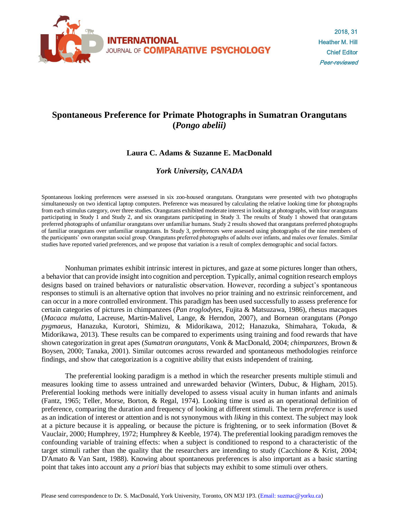

# **Spontaneous Preference for Primate Photographs in Sumatran Orangutans (***Pongo abelii)*

### **Laura C. Adams & Suzanne E. MacDonald**

### *York University, CANADA*

Spontaneous looking preferences were assessed in six zoo-housed orangutans. Orangutans were presented with two photographs simultaneously on two identical laptop computers. Preference was measured by calculating the relative looking time for photographs from each stimulus category, over three studies. Orangutans exhibited moderate interest in looking at photographs, with four orangutans participating in Study 1 and Study 2, and six orangutans participating in Study 3. The results of Study 1 showed that orangutans preferred photographs of unfamiliar orangutans over unfamiliar humans. Study 2 results showed that orangutans preferred photographs of familiar orangutans over unfamiliar orangutans. In Study 3, preferences were assessed using photographs of the nine members of the participants' own orangutan social group. Orangutans preferred photographs of adults over infants, and males over females. Similar studies have reported varied preferences, and we propose that variation is a result of complex demographic and social factors.

Nonhuman primates exhibit intrinsic interest in pictures, and gaze at some pictures longer than others, a behavior that can provide insight into cognition and perception. Typically, animal cognition research employs designs based on trained behaviors or naturalistic observation. However, recording a subject's spontaneous responses to stimuli is an alternative option that involves no prior training and no extrinsic reinforcement, and can occur in a more controlled environment. This paradigm has been used successfully to assess preference for certain categories of pictures in chimpanzees (*Pan troglodytes*, Fujita & Matsuzawa, 1986), rhesus macaques (*Macaca mulatta*, Lacreuse, Martin-Malivel, Lange, & Herndon, 2007), and Bornean orangutans (*Pongo pygmaeus*, Hanazuka, Kurotori, Shimizu, & Midorikawa, 2012; Hanazuka, Shimahara, Tokuda, & Midorikawa, 2013). These results can be compared to experiments using training and food rewards that have shown categorization in great apes (*Sumatran orangutans*, Vonk & MacDonald, 2004; *chimpanzees,* Brown & Boysen, 2000; Tanaka, 2001). Similar outcomes across rewarded and spontaneous methodologies reinforce findings, and show that categorization is a cognitive ability that exists independent of training.

The preferential looking paradigm is a method in which the researcher presents multiple stimuli and measures looking time to assess untrained and unrewarded behavior (Winters, Dubuc, & Higham, 2015). Preferential looking methods were initially developed to assess visual acuity in human infants and animals (Fantz, 1965; Teller, Morse, Borton, & Regal, 1974). Looking time is used as an operational definition of preference, comparing the duration and frequency of looking at different stimuli. The term *preference* is used as an indication of interest or attention and is not synonymous with *liking* in this context. The subject may look at a picture because it is appealing, or because the picture is frightening, or to seek information (Bovet & Vauclair, 2000; Humphrey, 1972; Humphrey & Keeble, 1974). The preferential looking paradigm removes the confounding variable of training effects: when a subject is conditioned to respond to a characteristic of the target stimuli rather than the quality that the researchers are intending to study (Cacchione & Krist, 2004; D'Amato & Van Sant, 1988). Knowing about spontaneous preferences is also important as a basic starting point that takes into account any *a priori* bias that subjects may exhibit to some stimuli over others.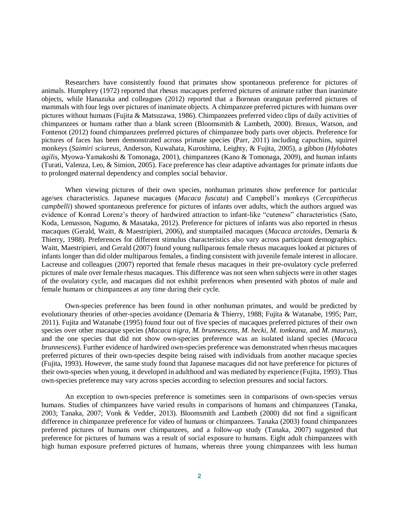Researchers have consistently found that primates show spontaneous preference for pictures of animals. Humphrey (1972) reported that rhesus macaques preferred pictures of animate rather than inanimate objects, while Hanazuka and colleagues (2012) reported that a Bornean orangutan preferred pictures of mammals with four legs over pictures of inanimate objects. A chimpanzee preferred pictures with humans over pictures without humans (Fujita & Matsuzawa, 1986). Chimpanzees preferred video clips of daily activities of chimpanzees or humans rather than a blank screen (Bloomsmith & Lambeth, 2000). Breaux, Watson, and Fontenot (2012) found chimpanzees preferred pictures of chimpanzee body parts over objects. Preference for pictures of faces has been demonstrated across primate species (Parr, 2011) including capuchins, squirrel monkeys (*Saimiri sciureus*, Anderson, Kuwahata, Kuroshima, Leighty, & Fujita, 2005), a gibbon (*Hylobates agilis*, Myowa-Yamakoshi & Tomonaga, 2001), chimpanzees (Kano & Tomonaga, 2009), and human infants (Turati, Valenza, Leo, & Simion, 2005). Face preference has clear adaptive advantages for primate infants due to prolonged maternal dependency and complex social behavior.

When viewing pictures of their own species, nonhuman primates show preference for particular age/sex characteristics. Japanese macaques (*Macaca fuscata*) and Campbell's monkeys (*Cercopithecus campbelli*) showed spontaneous preference for pictures of infants over adults, which the authors argued was evidence of Konrad Lorenz's theory of hardwired attraction to infant-like "cuteness" characteristics (Sato, Koda, Lemasson, Nagumo, & Masataka, 2012). Preference for pictures of infants was also reported in rhesus macaques (Gerald, Waitt, & Maestripieri, 2006), and stumptailed macaques (*Macaca arctoides*, Demaria & Thierry, 1988). Preferences for different stimulus characteristics also vary across participant demographics. Waitt, Maestripieri, and Gerald (2007) found young nulliparous female rhesus macaques looked at pictures of infants longer than did older multiparous females, a finding consistent with juvenile female interest in allocare. Lacreuse and colleagues (2007) reported that female rhesus macaques in their pre-ovulatory cycle preferred pictures of male over female rhesus macaques. This difference was not seen when subjects were in other stages of the ovulatory cycle, and macaques did not exhibit preferences when presented with photos of male and female humans or chimpanzees at any time during their cycle.

Own-species preference has been found in other nonhuman primates, and would be predicted by evolutionary theories of other-species avoidance (Demaria & Thierry, 1988; Fujita & Watanabe, 1995; Parr, 2011). Fujita and Watanabe (1995) found four out of five species of macaques preferred pictures of their own species over other macaque species (*Macaca nigra, M. brunnescens, M. hecki, M. tonkeana,* and *M. maurus*), and the one species that did not show own-species preference was an isolated island species (*Macaca brunnescens*). Further evidence of hardwired own-species preference was demonstrated when rhesus macaques preferred pictures of their own-species despite being raised with individuals from another macaque species (Fujita, 1993). However, the same study found that Japanese macaques did not have preference for pictures of their own-species when young, it developed in adulthood and was mediated by experience (Fujita, 1993). Thus own-species preference may vary across species according to selection pressures and social factors.

An exception to own-species preference is sometimes seen in comparisons of own-species versus humans. Studies of chimpanzees have varied results in comparisons of humans and chimpanzees (Tanaka, 2003; Tanaka, 2007; Vonk & Vedder, 2013). Bloomsmith and Lambeth (2000) did not find a significant difference in chimpanzee preference for video of humans or chimpanzees. Tanaka (2003) found chimpanzees preferred pictures of humans over chimpanzees, and a follow-up study (Tanaka, 2007) suggested that preference for pictures of humans was a result of social exposure to humans. Eight adult chimpanzees with high human exposure preferred pictures of humans, whereas three young chimpanzees with less human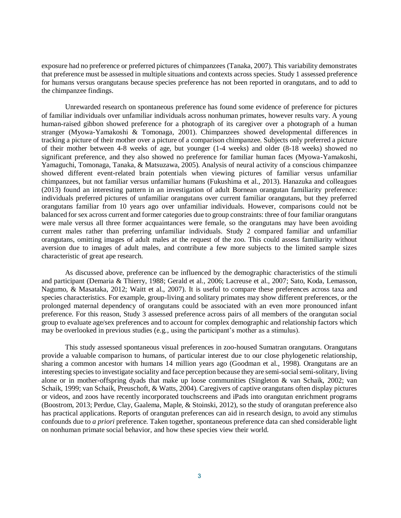exposure had no preference or preferred pictures of chimpanzees (Tanaka, 2007). This variability demonstrates that preference must be assessed in multiple situations and contexts across species. Study 1 assessed preference for humans versus orangutans because species preference has not been reported in orangutans, and to add to the chimpanzee findings.

Unrewarded research on spontaneous preference has found some evidence of preference for pictures of familiar individuals over unfamiliar individuals across nonhuman primates, however results vary. A young human-raised gibbon showed preference for a photograph of its caregiver over a photograph of a human stranger (Myowa-Yamakoshi & Tomonaga, 2001). Chimpanzees showed developmental differences in tracking a picture of their mother over a picture of a comparison chimpanzee. Subjects only preferred a picture of their mother between 4-8 weeks of age, but younger (1-4 weeks) and older (8-18 weeks) showed no significant preference, and they also showed no preference for familiar human faces (Myowa-Yamakoshi, Yamaguchi, Tomonaga, Tanaka, & Matsuzawa, 2005). Analysis of neural activity of a conscious chimpanzee showed different event-related brain potentials when viewing pictures of familiar versus unfamiliar chimpanzees, but not familiar versus unfamiliar humans (Fukushima et al., 2013). Hanazuka and colleagues (2013) found an interesting pattern in an investigation of adult Bornean orangutan familiarity preference: individuals preferred pictures of unfamiliar orangutans over current familiar orangutans, but they preferred orangutans familiar from 10 years ago over unfamiliar individuals. However, comparisons could not be balanced for sex across current and former categories due to group constraints: three of four familiar orangutans were male versus all three former acquaintances were female, so the orangutans may have been avoiding current males rather than preferring unfamiliar individuals. Study 2 compared familiar and unfamiliar orangutans, omitting images of adult males at the request of the zoo. This could assess familiarity without aversion due to images of adult males, and contribute a few more subjects to the limited sample sizes characteristic of great ape research.

As discussed above, preference can be influenced by the demographic characteristics of the stimuli and participant (Demaria & Thierry, 1988; Gerald et al., 2006; Lacreuse et al., 2007; Sato, Koda, Lemasson, Nagumo, & Masataka, 2012; Waitt et al., 2007). It is useful to compare these preferences across taxa and species characteristics. For example, group-living and solitary primates may show different preferences, or the prolonged maternal dependency of orangutans could be associated with an even more pronounced infant preference. For this reason, Study 3 assessed preference across pairs of all members of the orangutan social group to evaluate age/sex preferences and to account for complex demographic and relationship factors which may be overlooked in previous studies (e.g., using the participant's mother as a stimulus).

This study assessed spontaneous visual preferences in zoo-housed Sumatran orangutans. Orangutans provide a valuable comparison to humans, of particular interest due to our close phylogenetic relationship, sharing a common ancestor with humans 14 million years ago (Goodman et al., 1998). Orangutans are an interesting species to investigate sociality and face perception because they are semi-social semi-solitary, living alone or in mother-offspring dyads that make up loose communities (Singleton & van Schaik, 2002; van Schaik, 1999; van Schaik, Preuschoft, & Watts, 2004). Caregivers of captive orangutans often display pictures or videos, and zoos have recently incorporated touchscreens and iPads into orangutan enrichment programs (Boostrom, 2013; Perdue, Clay, Gaalema, Maple, & Stoinski, 2012), so the study of orangutan preference also has practical applications. Reports of orangutan preferences can aid in research design, to avoid any stimulus confounds due to *a priori* preference. Taken together, spontaneous preference data can shed considerable light on nonhuman primate social behavior, and how these species view their world.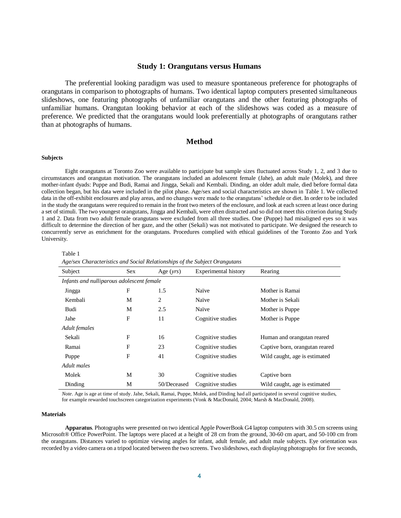#### **Study 1: Orangutans versus Humans**

The preferential looking paradigm was used to measure spontaneous preference for photographs of orangutans in comparison to photographs of humans. Two identical laptop computers presented simultaneous slideshows, one featuring photographs of unfamiliar orangutans and the other featuring photographs of unfamiliar humans. Orangutan looking behavior at each of the slideshows was coded as a measure of preference. We predicted that the orangutans would look preferentially at photographs of orangutans rather than at photographs of humans.

#### **Method**

#### **Subjects**

Eight orangutans at Toronto Zoo were available to participate but sample sizes fluctuated across Study 1, 2, and 3 due to circumstances and orangutan motivation. The orangutans included an adolescent female (Jahe), an adult male (Molek), and three mother-infant dyads: Puppe and Budi, Ramai and Jingga, Sekali and Kembali. Dinding, an older adult male, died before formal data collection began, but his data were included in the pilot phase. Age/sex and social characteristics are shown in Table 1. We collected data in the off-exhibit enclosures and play areas, and no changes were made to the orangutans' schedule or diet. In order to be included in the study the orangutans were required to remain in the front two meters of the enclosure, and look at each screen at least once during a set of stimuli. The two youngest orangutans, Jingga and Kembali, were often distracted and so did not meet this criterion during Study 1 and 2. Data from two adult female orangutans were excluded from all three studies. One (Puppe) had misaligned eyes so it was difficult to determine the direction of her gaze, and the other (Sekali) was not motivated to participate. We designed the research to concurrently serve as enrichment for the orangutans. Procedures complied with ethical guidelines of the Toronto Zoo and York University.

| Subject                                   | <b>Sex</b> |             | Experimental history | Rearing                        |  |
|-------------------------------------------|------------|-------------|----------------------|--------------------------------|--|
| Infants and nulliparous adolescent female |            |             |                      |                                |  |
| Jingga                                    | F          | 1.5         | Naïve                | Mother is Ramai                |  |
| Kembali                                   | М          | 2           | Naïve                | Mother is Sekali               |  |
| Budi                                      | М          | 2.5         | Naïve                | Mother is Puppe                |  |
| Jahe                                      | F          | 11          | Cognitive studies    | Mother is Puppe                |  |
| Adult females                             |            |             |                      |                                |  |
| Sekali                                    | F          | 16          | Cognitive studies    | Human and orangutan reared     |  |
| Ramai                                     | F          | 23          | Cognitive studies    | Captive born, orangutan reared |  |
| Puppe                                     | F          | 41          | Cognitive studies    | Wild caught, age is estimated  |  |
| Adult males                               |            |             |                      |                                |  |
| Molek                                     | М          | 30          | Cognitive studies    | Captive born                   |  |
| Dinding                                   | М          | 50/Deceased | Cognitive studies    | Wild caught, age is estimated  |  |

Table 1

*Age/sex Characteristics and Social Relationships of the Subject Orangutans*

*Note*. Age is age at time of study. Jahe, Sekali, Ramai, Puppe, Molek, and Dinding had all participated in several cognitive studies, for example rewarded touchscreen categorization experiments (Vonk & MacDonald, 2004; Marsh & MacDonald, 2008).

#### **Materials**

**Apparatus***.* Photographs were presented on two identical Apple PowerBook G4 laptop computers with 30.5 cm screens using Microsoft® Office PowerPoint. The laptops were placed at a height of 28 cm from the ground, 30-60 cm apart, and 50-100 cm from the orangutans. Distances varied to optimize viewing angles for infant, adult female, and adult male subjects. Eye orientation was recorded by a video camera on a tripod located between the two screens. Two slideshows, each displaying photographs for five seconds,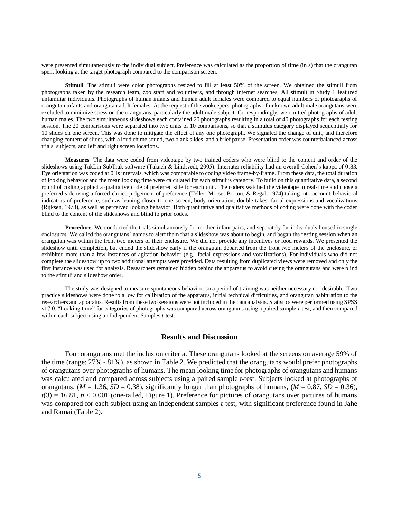were presented simultaneously to the individual subject. Preference was calculated as the proportion of time (in s) that the orangutan spent looking at the target photograph compared to the comparison screen.

**Stimuli***.* The stimuli were color photographs resized to fill at least 50% of the screen. We obtained the stimuli from photographs taken by the research team, zoo staff and volunteers, and through internet searches. All stimuli in Study 1 featured unfamiliar individuals. Photographs of human infants and human adult females were compared to equal numbers of photographs of orangutan infants and orangutan adult females. At the request of the zookeepers, photographs of unknown adult male orangutans were excluded to minimize stress on the orangutans, particularly the adult male subject. Correspondingly, we omitted photographs of adult human males. The two simultaneous slideshows each contained 20 photographs resulting in a total of 40 photographs for each testing session. The 20 comparisons were separated into two units of 10 comparisons, so that a stimulus category displayed sequentially for 10 slides on one screen. This was done to mitigate the effect of any one photograph. We signaled the change of unit, and therefore changing content of slides, with a loud chime sound, two blank slides, and a brief pause. Presentation order was counterbalanced across trials, subjects, and left and right screen locations.

**Measures***.* The data were coded from videotape by two trained coders who were blind to the content and order of the slideshows using TakLin SubTrak software (Takach & Lindtvedt, 2005). Interrater reliability had an overall Cohen's kappa of 0.83. Eye orientation was coded at 0.1s intervals, which was comparable to coding video frame-by-frame. From these data, the total duration of looking behavior and the mean looking time were calculated for each stimulus category. To build on this quantitative data, a second round of coding applied a qualitative code of preferred side for each unit. The coders watched the videotape in real-time and chose a preferred side using a forced-choice judgement of preference (Teller, Morse, Borton, & Regal, 1974) taking into account behavioral indicators of preference, such as leaning closer to one screen, body orientation, double-takes, facial expressions and vocalizations (Rijksen, 1978), as well as perceived looking behavior. Both quantitative and qualitative methods of coding were done with the coder blind to the content of the slideshows and blind to prior codes.

**Procedure.** We conducted the trials simultaneously for mother-infant pairs, and separately for individuals housed in single enclosures. We called the orangutans' names to alert them that a slideshow was about to begin, and began the testing session when an orangutan was within the front two meters of their enclosure. We did not provide any incentives or food rewards. We presented the slideshow until completion, but ended the slideshow early if the orangutan departed from the front two meters of the enclosure, or exhibited more than a few instances of agitation behavior (e.g., facial expressions and vocalizations). For individuals who did not complete the slideshow up to two additional attempts were provided. Data resulting from duplicated views were removed and only the first instance was used for analysis. Researchers remained hidden behind the apparatus to avoid cueing the orangutans and were blind to the stimuli and slideshow order.

The study was designed to measure spontaneous behavior, so a period of training was neither necessary nor desirable. Two practice slideshows were done to allow for calibration of the apparatus, initial technical difficulties, and orangutan habituation to the researchers and apparatus. Results from these two sessions were not included in the data analysis. Statistics were performed using SPSS v17.0. "Looking time" for categories of photographs was compared across orangutans using a paired sample *t-*test, and then compared within each subject using an Independent Samples *t-*test.

#### **Results and Discussion**

Four orangutans met the inclusion criteria. These orangutans looked at the screens on average 59% of the time (range: 27% - 81%), as shown in Table 2. We predicted that the orangutans would prefer photographs of orangutans over photographs of humans. The mean looking time for photographs of orangutans and humans was calculated and compared across subjects using a paired sample *t-*test. Subjects looked at photographs of orangutans,  $(M = 1.36, SD = 0.38)$ , significantly longer than photographs of humans,  $(M = 0.87, SD = 0.36)$ ,  $t(3) = 16.81$ ,  $p < 0.001$  (one-tailed, Figure 1). Preference for pictures of orangutans over pictures of humans was compared for each subject using an independent samples *t-*test, with significant preference found in Jahe and Ramai (Table 2).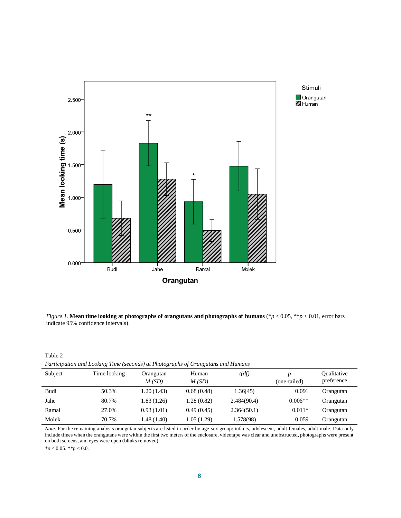

Stimuli  $\Box$  Orangutan Z Human

*Figure 1.* **Mean time looking at photographs of orangutans and photographs of humans** (\**p* < 0.05, \*\**p* < 0.01, error bars indicate 95% confidence intervals).

| Table 2                                                                          |
|----------------------------------------------------------------------------------|
| Participation and Looking Time (seconds) at Photographs of Orangutans and Humans |

| Subject | Time looking | Orangutan<br>M(SD) | Human<br>M(SD) | t(df)       | (one-tailed) | Qualitative<br>preference |
|---------|--------------|--------------------|----------------|-------------|--------------|---------------------------|
| Budi    | 50.3%        | 1.20(1.43)         | 0.68(0.48)     | 1.36(45)    | 0.091        | Orangutan                 |
| Jahe    | 80.7%        | 1.83(1.26)         | 1.28(0.82)     | 2.484(90.4) | $0.006**$    | Orangutan                 |
| Ramai   | 27.0%        | 0.93(1.01)         | 0.49(0.45)     | 2.364(50.1) | $0.011*$     | Orangutan                 |
| Molek   | 70.7%        | 1.48(1.40)         | 1.05(1.29)     | 1.578(98)   | 0.059        | Orangutan                 |

*Note*. For the remaining analysis orangutan subjects are listed in order by age-sex group: infants, adolescent, adult females, adult male. Data only include times when the orangutans were within the first two meters of the enclosure, videotape was clear and unobstructed, photographs were present on both screens, and eyes were open (blinks removed).

*\*p* < 0.05. *\*\*p* < 0.01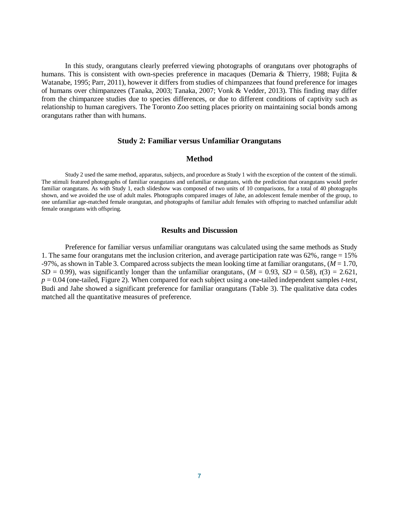In this study, orangutans clearly preferred viewing photographs of orangutans over photographs of humans. This is consistent with own-species preference in macaques (Demaria & Thierry, 1988; Fujita & Watanabe, 1995; Parr, 2011), however it differs from studies of chimpanzees that found preference for images of humans over chimpanzees (Tanaka, 2003; Tanaka, 2007; Vonk & Vedder, 2013). This finding may differ from the chimpanzee studies due to species differences, or due to different conditions of captivity such as relationship to human caregivers. The Toronto Zoo setting places priority on maintaining social bonds among orangutans rather than with humans.

#### **Study 2: Familiar versus Unfamiliar Orangutans**

#### **Method**

Study 2 used the same method, apparatus, subjects, and procedure as Study 1 with the exception of the content of the stimuli. The stimuli featured photographs of familiar orangutans and unfamiliar orangutans, with the prediction that orangutans would prefer familiar orangutans. As with Study 1, each slideshow was composed of two units of 10 comparisons, for a total of 40 photographs shown, and we avoided the use of adult males. Photographs compared images of Jahe, an adolescent female member of the group, to one unfamiliar age-matched female orangutan, and photographs of familiar adult females with offspring to matched unfamiliar adult female orangutans with offspring.

#### **Results and Discussion**

Preference for familiar versus unfamiliar orangutans was calculated using the same methods as Study 1. The same four orangutans met the inclusion criterion, and average participation rate was 62%, range = 15%  $-97\%$ , as shown in Table 3. Compared across subjects the mean looking time at familiar orangutans,  $(M = 1.70)$ ,  $SD = 0.99$ , was significantly longer than the unfamiliar orangutans,  $(M = 0.93, SD = 0.58)$ ,  $t(3) = 2.621$ , *p* = 0.04 (one-tailed, Figure 2). When compared for each subject using a one-tailed independent samples *t-test*, Budi and Jahe showed a significant preference for familiar orangutans (Table 3). The qualitative data codes matched all the quantitative measures of preference.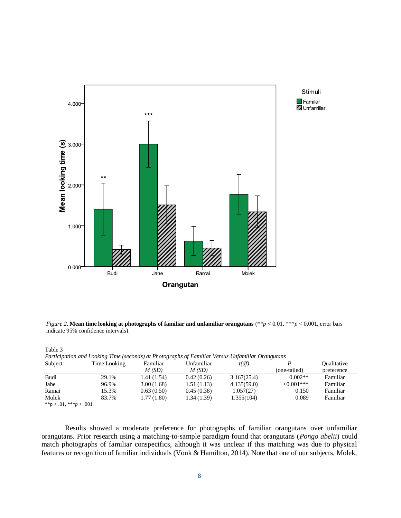

Stimuli  $\blacksquare$  Familiar Unfamiliar

*Figure 2.* **Mean time looking at photographs of familiar and unfamiliar orangutans**  $(**p < 0.01, **p < 0.001$ , error bars indicate 95% confidence intervals).

| Table 3                                                                                          |              |            |            |             |              |                    |  |
|--------------------------------------------------------------------------------------------------|--------------|------------|------------|-------------|--------------|--------------------|--|
| Participation and Looking Time (seconds) at Photographs of Familiar Versus Unfamiliar Orangutans |              |            |            |             |              |                    |  |
| Subject                                                                                          | Time Looking | Familiar   | Unfamiliar | t(df)       |              | <b>Oualitative</b> |  |
|                                                                                                  |              | M(SD)      | M(SD)      |             | (one-tailed) | preference         |  |
| Budi                                                                                             | 29.1%        | 1.41(1.54) | 0.42(0.26) | 3.167(25.4) | $0.002**$    | Familiar           |  |
| Jahe                                                                                             | 96.9%        | 3.00(1.68) | 1.51(1.13) | 4.135(59.0) | $<0.001***$  | Familiar           |  |
| Ramai                                                                                            | 15.3%        | 0.63(0.50) | 0.45(0.38) | 1.057(27)   | 0.150        | Familiar           |  |
| Molek                                                                                            | 83.7%        | 1.77(1.80) | 1.34(1.39) | 1.355(104)  | 0.089        | Familiar           |  |
| $x_{2} = 0.1$ $x_{3} = 0.01$                                                                     |              |            |            |             |              |                    |  |

\*\**p* < .01, \*\*\**p* < .001

Results showed a moderate preference for photographs of familiar orangutans over unfamiliar orangutans. Prior research using a matching-to-sample paradigm found that orangutans (*Pongo abelii*) could match photographs of familiar conspecifics, although it was unclear if this matching was due to physical features or recognition of familiar individuals (Vonk & Hamilton, 2014). Note that one of our subjects, Molek,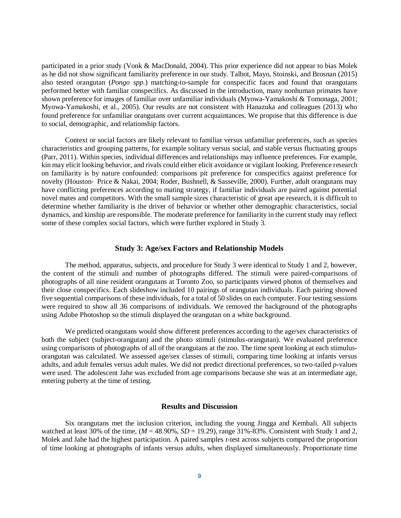participated in a prior study (Vonk & MacDonald, 2004). This prior experience did not appear to bias Molek as he did not show significant familiarity preference in our study. Talbot, Mayo, Stoinski, and Brosnan (2015) also tested orangutan (*Pongo spp.*) matching-to-sample for conspecific faces and found that orangutans performed better with familiar conspecifics. As discussed in the introduction, many nonhuman primates have shown preference for images of familiar over unfamiliar individuals (Myowa-Yamakoshi & Tomonaga, 2001; Myowa-Yamakoshi, et al., 2005). Our results are not consistent with Hanazuka and colleagues (2013) who found preference for unfamiliar orangutans over current acquaintances. We propose that this difference is due to social, demographic, and relationship factors.

Context or social factors are likely relevant to familiar versus unfamiliar preferences, such as species characteristics and grouping patterns, for example solitary versus social, and stable versus fluctuating groups (Parr, 2011). Within species, individual differences and relationships may influence preferences. For example, kin may elicit looking behavior, and rivals could either elicit avoidance or vigilant looking. Preference research on familiarity is by nature confounded: comparisons pit preference for conspecifics against preference for novelty (Houston- Price & Nakai, 2004; Roder, Bushnell, & Sasseville, 2000). Further, adult orangutans may have conflicting preferences according to mating strategy, if familiar individuals are paired against potential novel mates and competitors. With the small sample sizes characteristic of great ape research, it is difficult to determine whether familiarity is the driver of behavior or whether other demographic characteristics, social dynamics, and kinship are responsible. The moderate preference for familiarity in the current study may reflect some of these complex social factors, which were further explored in Study 3.

#### **Study 3: Age/sex Factors and Relationship Models**

The method, apparatus, subjects, and procedure for Study 3 were identical to Study 1 and 2, however, the content of the stimuli and number of photographs differed. The stimuli were paired-comparisons of photographs of all nine resident orangutans at Toronto Zoo, so participants viewed photos of themselves and their close conspecifics. Each slideshow included 10 pairings of orangutan individuals. Each pairing showed five sequential comparisons of these individuals, for a total of 50 slides on each computer. Four testing sessions were required to show all 36 comparisons of individuals. We removed the background of the photographs using Adobe Photoshop so the stimuli displayed the orangutan on a white background.

We predicted orangutans would show different preferences according to the age/sex characteristics of both the subject (subject-orangutan) and the photo stimuli (stimulus-orangutan). We evaluated preference using comparisons of photographs of all of the orangutans at the zoo. The time spent looking at each stimulusorangutan was calculated. We assessed age/sex classes of stimuli, comparing time looking at infants versus adults, and adult females versus adult males. We did not predict directional preferences, so two-tailed *p-*values were used. The adolescent Jahe was excluded from age comparisons because she was at an intermediate age, entering puberty at the time of testing.

#### **Results and Discussion**

Six orangutans met the inclusion criterion, including the young Jingga and Kembali. All subjects watched at least 30% of the time, ( $M = 48.90\%$ ,  $SD = 19.29$ ), range 31%-83%. Consistent with Study 1 and 2, Molek and Jahe had the highest participation. A paired samples *t*-test across subjects compared the proportion of time looking at photographs of infants versus adults, when displayed simultaneously. Proportionate time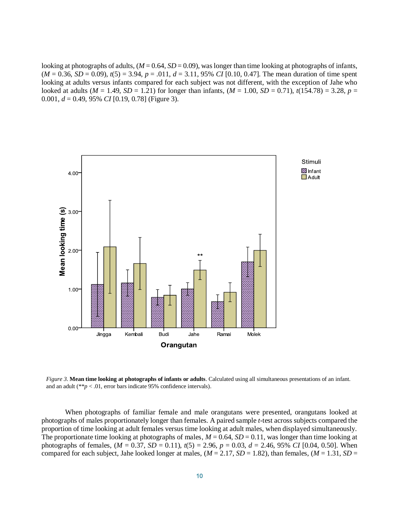looking at photographs of adults,  $(M = 0.64, SD = 0.09)$ , was longer than time looking at photographs of infants, (*M* = 0.36, *SD* = 0.09), *t*(5) = 3.94, *p* = .011, *d* = 3.11, 95% *CI* [0.10, 0.47]. The mean duration of time spent looking at adults versus infants compared for each subject was not different, with the exception of Jahe who looked at adults ( $M = 1.49$ ,  $SD = 1.21$ ) for longer than infants, ( $M = 1.00$ ,  $SD = 0.71$ ),  $t(154.78) = 3.28$ ,  $p =$ 0.001, *d* = 0.49, 95% *CI* [0.19, 0.78] (Figure 3).



*Figure 3.* **Mean time looking at photographs of infants or adults**. Calculated using all simultaneous presentations of an infant. and an adult ( $*p < .01$ , error bars indicate 95% confidence intervals).

When photographs of familiar female and male orangutans were presented, orangutans looked at photographs of males proportionately longer than females. A paired sample *t*-test across subjects compared the proportion of time looking at adult females versus time looking at adult males, when displayed simultaneously. The proportionate time looking at photographs of males,  $M = 0.64$ ,  $SD = 0.11$ , was longer than time looking at photographs of females,  $(M = 0.37, SD = 0.11)$ ,  $t(5) = 2.96$ ,  $p = 0.03$ ,  $d = 2.46, 95\%$  *CI* [0.04, 0.50]. When compared for each subject, Jahe looked longer at males,  $(M = 2.17, SD = 1.82)$ , than females,  $(M = 1.31, SD = 1.31)$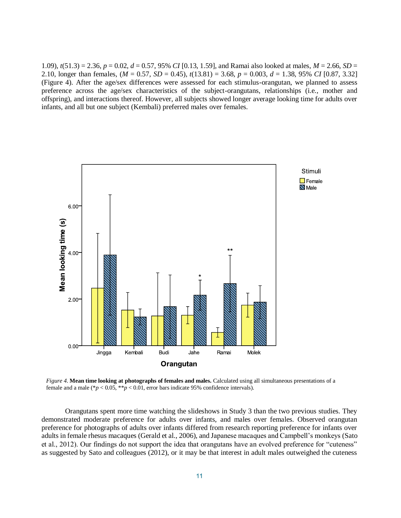1.09), *t*(51.3) = 2.36, *p* = 0.02, *d* = 0.57, 95% *CI* [0.13, 1.59], and Ramai also looked at males, *M* = 2.66, *SD* = 2.10, longer than females, (*M* = 0.57, *SD* = 0.45), *t*(13.81) = 3.68, *p* = 0.003, *d* = 1.38, 95% *CI* [0.87, 3.32] (Figure 4). After the age/sex differences were assessed for each stimulus-orangutan, we planned to assess preference across the age/sex characteristics of the subject-orangutans, relationships (i.e., mother and offspring), and interactions thereof. However, all subjects showed longer average looking time for adults over infants, and all but one subject (Kembali) preferred males over females.



*Figure 4.* **Mean time looking at photographs of females and males.** Calculated using all simultaneous presentations of a female and a male ( $p < 0.05$ ,  $* p < 0.01$ , error bars indicate 95% confidence intervals).

Orangutans spent more time watching the slideshows in Study 3 than the two previous studies. They demonstrated moderate preference for adults over infants, and males over females. Observed orangutan preference for photographs of adults over infants differed from research reporting preference for infants over adults in female rhesus macaques (Gerald et al., 2006), and Japanese macaques and Campbell's monkeys (Sato et al., 2012). Our findings do not support the idea that orangutans have an evolved preference for "cuteness" as suggested by Sato and colleagues (2012), or it may be that interest in adult males outweighed the cuteness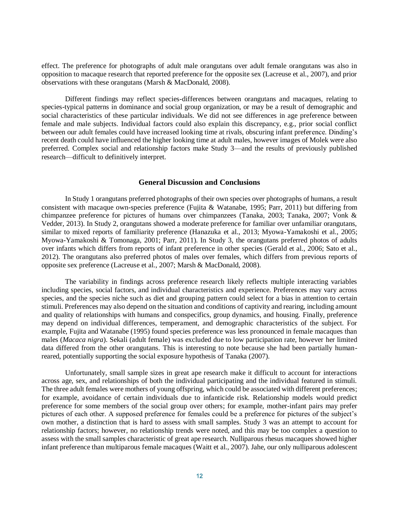effect. The preference for photographs of adult male orangutans over adult female orangutans was also in opposition to macaque research that reported preference for the opposite sex (Lacreuse et al., 2007), and prior observations with these orangutans (Marsh & MacDonald, 2008).

Different findings may reflect species-differences between orangutans and macaques, relating to species-typical patterns in dominance and social group organization, or may be a result of demographic and social characteristics of these particular individuals. We did not see differences in age preference between female and male subjects. Individual factors could also explain this discrepancy, e.g., prior social conflict between our adult females could have increased looking time at rivals, obscuring infant preference. Dinding's recent death could have influenced the higher looking time at adult males, however images of Molek were also preferred. Complex social and relationship factors make Study 3—and the results of previously published research—difficult to definitively interpret.

#### **General Discussion and Conclusions**

In Study 1 orangutans preferred photographs of their own species over photographs of humans, a result consistent with macaque own-species preference (Fujita & Watanabe, 1995; Parr, 2011) but differing from chimpanzee preference for pictures of humans over chimpanzees (Tanaka, 2003; Tanaka, 2007; Vonk & Vedder, 2013). In Study 2, orangutans showed a moderate preference for familiar over unfamiliar orangutans, similar to mixed reports of familiarity preference (Hanazuka et al., 2013; Myowa-Yamakoshi et al., 2005; Myowa-Yamakoshi & Tomonaga, 2001; Parr, 2011). In Study 3, the orangutans preferred photos of adults over infants which differs from reports of infant preference in other species (Gerald et al., 2006; Sato et al., 2012). The orangutans also preferred photos of males over females, which differs from previous reports of opposite sex preference (Lacreuse et al., 2007; Marsh & MacDonald, 2008).

The variability in findings across preference research likely reflects multiple interacting variables including species, social factors, and individual characteristics and experience. Preferences may vary across species, and the species niche such as diet and grouping pattern could select for a bias in attention to certain stimuli. Preferences may also depend on the situation and conditions of captivity and rearing, including amount and quality of relationships with humans and conspecifics, group dynamics, and housing. Finally, preference may depend on individual differences, temperament, and demographic characteristics of the subject. For example, Fujita and Watanabe (1995) found species preference was less pronounced in female macaques than males (*Macaca nigra*). Sekali (adult female) was excluded due to low participation rate, however her limited data differed from the other orangutans. This is interesting to note because she had been partially humanreared, potentially supporting the social exposure hypothesis of Tanaka (2007).

Unfortunately, small sample sizes in great ape research make it difficult to account for interactions across age, sex, and relationships of both the individual participating and the individual featured in stimuli. The three adult females were mothers of young offspring, which could be associated with different preferences; for example, avoidance of certain individuals due to infanticide risk. Relationship models would predict preference for some members of the social group over others; for example, mother-infant pairs may prefer pictures of each other. A supposed preference for females could be a preference for pictures of the subject's own mother, a distinction that is hard to assess with small samples. Study 3 was an attempt to account for relationship factors; however, no relationship trends were noted, and this may be too complex a question to assess with the small samples characteristic of great ape research. Nulliparous rhesus macaques showed higher infant preference than multiparous female macaques (Waitt et al., 2007). Jahe, our only nulliparous adolescent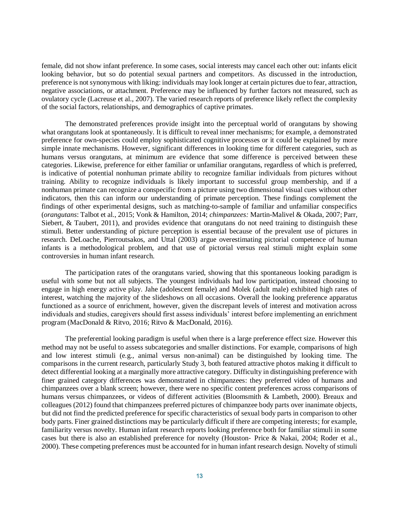female, did not show infant preference. In some cases, social interests may cancel each other out: infants elicit looking behavior, but so do potential sexual partners and competitors. As discussed in the introduction, preference is not synonymous with liking: individuals may look longer at certain pictures due to fear, attraction, negative associations, or attachment. Preference may be influenced by further factors not measured, such as ovulatory cycle (Lacreuse et al., 2007). The varied research reports of preference likely reflect the complexity of the social factors, relationships, and demographics of captive primates.

The demonstrated preferences provide insight into the perceptual world of orangutans by showing what orangutans look at spontaneously. It is difficult to reveal inner mechanisms; for example, a demonstrated preference for own-species could employ sophisticated cognitive processes or it could be explained by more simple innate mechanisms. However, significant differences in looking time for different categories, such as humans versus orangutans, at minimum are evidence that some difference is perceived between these categories. Likewise, preference for either familiar or unfamiliar orangutans, regardless of which is preferred, is indicative of potential nonhuman primate ability to recognize familiar individuals from pictures without training. Ability to recognize individuals is likely important to successful group membership, and if a nonhuman primate can recognize a conspecific from a picture using two dimensional visual cues without other indicators, then this can inform our understanding of primate perception. These findings complement the findings of other experimental designs, such as matching-to-sample of familiar and unfamiliar conspecifics (*orangutans*: Talbot et al., 2015; Vonk & Hamilton, 2014; *chimpanzees:* Martin-Malivel & Okada, 2007; Parr, Siebert, & Taubert, 2011), and provides evidence that orangutans do not need training to distinguish these stimuli. Better understanding of picture perception is essential because of the prevalent use of pictures in research. DeLoache, Pierroutsakos, and Uttal (2003) argue overestimating pictorial competence of human infants is a methodological problem, and that use of pictorial versus real stimuli might explain some controversies in human infant research.

The participation rates of the orangutans varied, showing that this spontaneous looking paradigm is useful with some but not all subjects. The youngest individuals had low participation, instead choosing to engage in high energy active play. Jahe (adolescent female) and Molek (adult male) exhibited high rates of interest, watching the majority of the slideshows on all occasions. Overall the looking preference apparatus functioned as a source of enrichment, however, given the discrepant levels of interest and motivation across individuals and studies, caregivers should first assess individuals' interest before implementing an enrichment program (MacDonald & Ritvo, 2016; Ritvo & MacDonald, 2016).

The preferential looking paradigm is useful when there is a large preference effect size. However this method may not be useful to assess subcategories and smaller distinctions. For example, comparisons of high and low interest stimuli (e.g., animal versus non-animal) can be distinguished by looking time. The comparisons in the current research, particularly Study 3, both featured attractive photos making it difficult to detect differential looking at a marginally more attractive category. Difficulty in distinguishing preference with finer grained category differences was demonstrated in chimpanzees: they preferred video of humans and chimpanzees over a blank screen; however, there were no specific content preferences across comparisons of humans versus chimpanzees, or videos of different activities (Bloomsmith & Lambeth, 2000). Breaux and colleagues (2012) found that chimpanzees preferred pictures of chimpanzee body parts over inanimate objects, but did not find the predicted preference for specific characteristics of sexual body parts in comparison to other body parts. Finer grained distinctions may be particularly difficult if there are competing interests; for example, familiarity versus novelty. Human infant research reports looking preference both for familiar stimuli in some cases but there is also an established preference for novelty (Houston‐ Price & Nakai, 2004; Roder et al., 2000). These competing preferences must be accounted for in human infant research design. Novelty of stimuli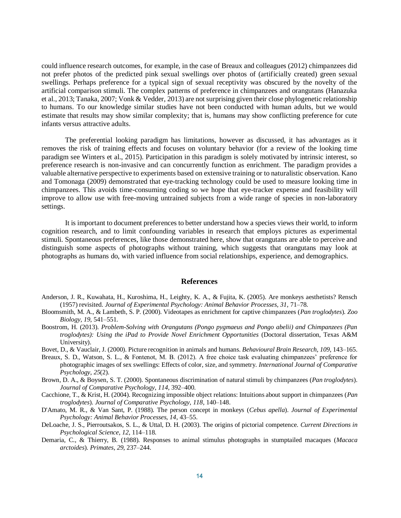could influence research outcomes, for example, in the case of Breaux and colleagues (2012) chimpanzees did not prefer photos of the predicted pink sexual swellings over photos of (artificially created) green sexual swellings. Perhaps preference for a typical sign of sexual receptivity was obscured by the novelty of the artificial comparison stimuli. The complex patterns of preference in chimpanzees and orangutans (Hanazuka et al., 2013; Tanaka, 2007; Vonk & Vedder, 2013) are not surprising given their close phylogenetic relationship to humans. To our knowledge similar studies have not been conducted with human adults, but we would estimate that results may show similar complexity; that is, humans may show conflicting preference for cute infants versus attractive adults.

The preferential looking paradigm has limitations, however as discussed, it has advantages as it removes the risk of training effects and focuses on voluntary behavior (for a review of the looking time paradigm see Winters et al., 2015). Participation in this paradigm is solely motivated by intrinsic interest, so preference research is non-invasive and can concurrently function as enrichment. The paradigm provides a valuable alternative perspective to experiments based on extensive training or to naturalistic observation. Kano and Tomonaga (2009) demonstrated that eye-tracking technology could be used to measure looking time in chimpanzees. This avoids time-consuming coding so we hope that eye-tracker expense and feasibility will improve to allow use with free-moving untrained subjects from a wide range of species in non-laboratory settings.

It is important to document preferences to better understand how a species views their world, to inform cognition research, and to limit confounding variables in research that employs pictures as experimental stimuli. Spontaneous preferences, like those demonstrated here, show that orangutans are able to perceive and distinguish some aspects of photographs without training, which suggests that orangutans may look at photographs as humans do, with varied influence from social relationships, experience, and demographics.

#### **References**

- Anderson, J. R., Kuwahata, H., Kuroshima, H., Leighty, K. A., & Fujita, K. (2005). Are monkeys aesthetists? Rensch (1957) revisited. *Journal of Experimental Psychology: Animal Behavior Processes, 31*, 71–78.
- Bloomsmith, M. A., & Lambeth, S. P. (2000). Videotapes as enrichment for captive chimpanzees (*Pan troglodytes*). *Zoo Biology, 19*, 541–551.
- Boostrom, H. (2013). *Problem-Solving with Orangutans (Pongo pygmaeus and Pongo abelii) and Chimpanzees (Pan troglodytes): Using the iPad to Provide Novel Enrichment Opportunities* (Doctoral dissertation, Texas A&M University).
- Bovet, D., & Vauclair, J. (2000). Picture recognition in animals and humans. *Behavioural Brain Research, 109*, 143–165.
- Breaux, S. D., Watson, S. L., & Fontenot, M. B. (2012). A free choice task evaluating chimpanzees' preference for photographic images of sex swellings: Effects of color, size, and symmetry. *International Journal of Comparative Psychology*, *25*(2).
- Brown, D. A., & Boysen, S. T. (2000). Spontaneous discrimination of natural stimuli by chimpanzees (*Pan troglodytes*). *Journal of Comparative Psychology*, *114*, 392–400.
- Cacchione, T., & Krist, H. (2004). Recognizing impossible object relations: Intuitions about support in chimpanzees (*Pan troglodytes*)*. Journal of Comparative Psychology, 118*, 140–148.
- D'Amato, M. R., & Van Sant, P. (1988). The person concept in monkeys (*Cebus apella*). *Journal of Experimental Psychology: Animal Behavior Processes, 14*, 43–55.
- DeLoache, J. S., Pierroutsakos, S. L., & Uttal, D. H. (2003). The origins of pictorial competence. *Current Directions in Psychological Science*, *12*, 114–118.
- Demaria, C., & Thierry, B. (1988). Responses to animal stimulus photographs in stumptailed macaques (*Macaca arctoides*). *Primates*, *29*, 237–244.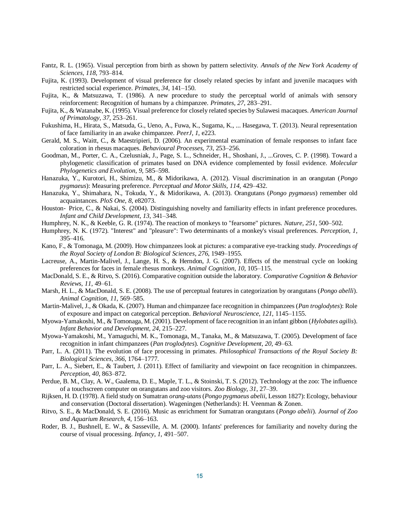- Fantz, R. L. (1965). Visual perception from birth as shown by pattern selectivity. *Annals of the New York Academy of Sciences, 118*, 793–814.
- Fujita, K. (1993). Development of visual preference for closely related species by infant and juvenile macaques with restricted social experience. *Primates*, *34*, 141–150.
- Fujita, K., & Matsuzawa, T. (1986). A new procedure to study the perceptual world of animals with sensory reinforcement: Recognition of humans by a chimpanzee. *Primates, 27*, 283–291.
- Fujita, K., & Watanabe, K. (1995). Visual preference for closely related species by Sulawesi macaques. *American Journal of Primatology, 37*, 253–261.
- Fukushima, H., Hirata, S., Matsuda, G., Ueno, A., Fuwa, K., Sugama, K., ... Hasegawa, T. (2013). Neural representation of face familiarity in an awake chimpanzee. *PeerJ*, *1*, e223.
- Gerald, M. S., Waitt, C., & Maestripieri, D. (2006). An experimental examination of female responses to infant face coloration in rhesus macaques. *Behavioural Processes, 73*, 253–256.
- Goodman, M., Porter, C. A., Czelusniak, J., Page, S. L., Schneider, H., Shoshani, J., ...Groves, C. P. (1998). Toward a phylogenetic classification of primates based on DNA evidence complemented by fossil evidence. *Molecular Phylogenetics and Evolution*, *9*, 585–598.
- Hanazuka, Y., Kurotori, H., Shimizu, M., & Midorikawa, A. (2012). Visual discrimination in an orangutan (*Pongo pygmaeus*): Measuring preference. *Perceptual and Motor Skills, 114*, 429–432.
- Hanazuka, Y., Shimahara, N., Tokuda, Y., & Midorikawa, A. (2013). Orangutans (*Pongo pygmaeus*) remember old acquaintances. *PloS One*, *8*, e82073.
- Houston- Price, C., & Nakai, S. (2004). Distinguishing novelty and familiarity effects in infant preference procedures. *Infant and Child Development*, *13*, 341–348.
- Humphrey, N. K., & Keeble, G. R. (1974). The reaction of monkeys to "fearsome" pictures. *Nature, 251*, 500–502.
- Humphrey, N. K. (1972). "Interest" and "pleasure": Two determinants of a monkey's visual preferences. *Perception, 1*, 395–416.
- Kano, F., & Tomonaga, M. (2009). How chimpanzees look at pictures: a comparative eye-tracking study. *Proceedings of the Royal Society of London B: Biological Sciences*, *276*, 1949–1955.
- Lacreuse, A., Martin-Malivel, J., Lange, H. S., & Herndon, J. G. (2007). Effects of the menstrual cycle on looking preferences for faces in female rhesus monkeys. *Animal Cognition, 10*, 105–115.
- MacDonald, S. E., & Ritvo, S. (2016). Comparative cognition outside the laboratory. *Comparative Cognition & Behavior Reviews*, *11*, 49–61.
- Marsh, H. L., & MacDonald, S. E. (2008). The use of perceptual features in categorization by orangutans (*Pongo abelli*). *Animal Cognition*, *11*, 569–585.
- Martin-Malivel, J., & Okada, K. (2007). Human and chimpanzee face recognition in chimpanzees (*Pan troglodytes*): Role of exposure and impact on categorical perception. *Behavioral Neuroscience*, *121*, 1145–1155.
- Myowa-Yamakoshi, M., & Tomonaga, M. (2001). Development of face recognition in an infant gibbon (*Hylobates agilis*). *Infant Behavior and Development*, *24*, 215–227.
- Myowa-Yamakoshi, M., Yamaguchi, M. K., Tomonaga, M., Tanaka, M., & Matsuzawa, T. (2005). Development of face recognition in infant chimpanzees (*Pan troglodytes*). *Cognitive Development, 20*, 49–63.
- Parr, L. A. (2011). The evolution of face processing in primates. *Philosophical Transactions of the Royal Society B: Biological Sciences*, *366*, 1764–1777.
- Parr, L. A., Siebert, E., & Taubert, J. (2011). Effect of familiarity and viewpoint on face recognition in chimpanzees. *Perception*, *40*, 863–872.
- Perdue, B. M., Clay, A. W., Gaalema, D. E., Maple, T. L., & Stoinski, T. S. (2012). Technology at the zoo: The influence of a touchscreen computer on orangutans and zoo visitors. *Zoo Biology*, *31*, 27–39.
- Rijksen, H. D. (1978). A field study on Sumatran *orang-utans* (*Pongo pygmaeus abelii,* Lesson 1827): Ecology, behaviour and conservation (Doctoral dissertation). Wageningen (Netherlands): H. Veenman & Zonen.
- Ritvo, S. E., & MacDonald, S. E. (2016). Music as enrichment for Sumatran orangutans (*Pongo abelii*). *Journal of Zoo and Aquarium Research*, *4*, 156–163.
- Roder, B. J., Bushnell, E. W., & Sasseville, A. M. (2000). Infants' preferences for familiarity and novelty during the course of visual processing. *Infancy*, *1*, 491–507.